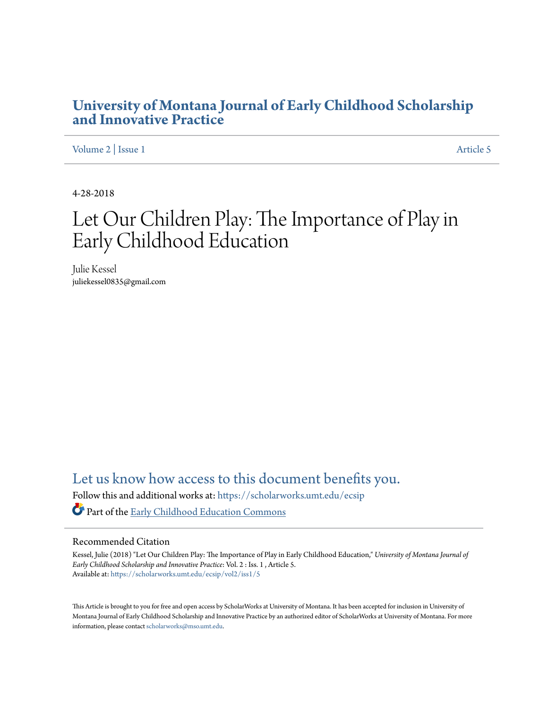#### **[University of Montana Journal of Early Childhood Scholarship](https://scholarworks.umt.edu/ecsip?utm_source=scholarworks.umt.edu%2Fecsip%2Fvol2%2Fiss1%2F5&utm_medium=PDF&utm_campaign=PDFCoverPages) [and Innovative Practice](https://scholarworks.umt.edu/ecsip?utm_source=scholarworks.umt.edu%2Fecsip%2Fvol2%2Fiss1%2F5&utm_medium=PDF&utm_campaign=PDFCoverPages)**

[Volume 2](https://scholarworks.umt.edu/ecsip/vol2?utm_source=scholarworks.umt.edu%2Fecsip%2Fvol2%2Fiss1%2F5&utm_medium=PDF&utm_campaign=PDFCoverPages) | [Issue 1](https://scholarworks.umt.edu/ecsip/vol2/iss1?utm_source=scholarworks.umt.edu%2Fecsip%2Fvol2%2Fiss1%2F5&utm_medium=PDF&utm_campaign=PDFCoverPages) [Article 5](https://scholarworks.umt.edu/ecsip/vol2/iss1/5?utm_source=scholarworks.umt.edu%2Fecsip%2Fvol2%2Fiss1%2F5&utm_medium=PDF&utm_campaign=PDFCoverPages)

4-28-2018

## Let Our Children Play: The Importance of Play in Early Childhood Education

Julie Kessel juliekessel0835@gmail.com

[Let us know how access to this document benefits you.](https://goo.gl/forms/s2rGfXOLzz71qgsB2)

Follow this and additional works at: [https://scholarworks.umt.edu/ecsip](https://scholarworks.umt.edu/ecsip?utm_source=scholarworks.umt.edu%2Fecsip%2Fvol2%2Fiss1%2F5&utm_medium=PDF&utm_campaign=PDFCoverPages)

Part of the [Early Childhood Education Commons](http://network.bepress.com/hgg/discipline/1377?utm_source=scholarworks.umt.edu%2Fecsip%2Fvol2%2Fiss1%2F5&utm_medium=PDF&utm_campaign=PDFCoverPages)

#### Recommended Citation

Kessel, Julie (2018) "Let Our Children Play: The Importance of Play in Early Childhood Education," *University of Montana Journal of Early Childhood Scholarship and Innovative Practice*: Vol. 2 : Iss. 1 , Article 5. Available at: [https://scholarworks.umt.edu/ecsip/vol2/iss1/5](https://scholarworks.umt.edu/ecsip/vol2/iss1/5?utm_source=scholarworks.umt.edu%2Fecsip%2Fvol2%2Fiss1%2F5&utm_medium=PDF&utm_campaign=PDFCoverPages)

This Article is brought to you for free and open access by ScholarWorks at University of Montana. It has been accepted for inclusion in University of Montana Journal of Early Childhood Scholarship and Innovative Practice by an authorized editor of ScholarWorks at University of Montana. For more information, please contact [scholarworks@mso.umt.edu.](mailto:scholarworks@mso.umt.edu)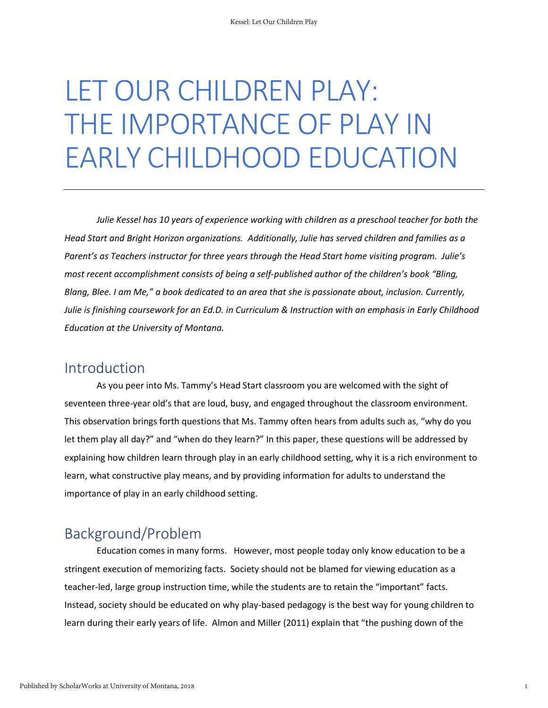# LET OUR CHILDREN PLAY: THE IMPORTANCE OF PLAY IN EARLY CHILDHOOD EDUCATION

*Julie Kessel has 10 years of experience working with children as a preschool teacher for both the Head Start and Bright Horizon organizations. Additionally, Julie has served children and families as a Parent's as Teachers instructor for three years through the Head Start home visiting program. Julie's most recent accomplishment consists of being a self-published author of the children's book "Bling, Blang, Blee. I am Me," a book dedicated to an area that she is passionate about, inclusion. Currently, Julie is finishing coursework for an Ed.D. in Curriculum & Instruction with an emphasis in Early Childhood Education at the University of Montana.*

#### Introduction

As you peer into Ms. Tammy's Head Start classroom you are welcomed with the sight of seventeen three-year old's that are loud, busy, and engaged throughout the classroom environment. This observation brings forth questions that Ms. Tammy often hears from adults such as, "why do you let them play all day?" and "when do they learn?" In this paper, these questions will be addressed by explaining how children learn through play in an early childhood setting, why it is a rich environment to learn, what constructive play means, and by providing information for adults to understand the importance of play in an early childhood setting.

#### Background/Problem

Education comes in many forms. However, most people today only know education to be a stringent execution of memorizing facts. Society should not be blamed for viewing education as a teacher-led, large group instruction time, while the students are to retain the "important" facts. Instead, society should be educated on why play-based pedagogy is the best way for young children to learn during their early years of life. Almon and Miller (2011) explain that "the pushing down of the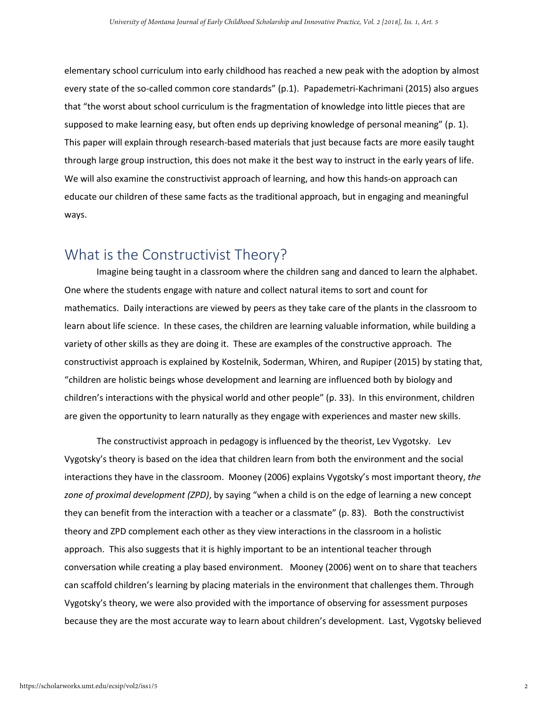elementary school curriculum into early childhood has reached a new peak with the adoption by almost every state of the so-called common core standards" (p.1). Papademetri-Kachrimani (2015) also argues that "the worst about school curriculum is the fragmentation of knowledge into little pieces that are supposed to make learning easy, but often ends up depriving knowledge of personal meaning" (p. 1). This paper will explain through research-based materials that just because facts are more easily taught through large group instruction, this does not make it the best way to instruct in the early years of life. We will also examine the constructivist approach of learning, and how this hands-on approach can educate our children of these same facts as the traditional approach, but in engaging and meaningful ways.

#### What is the Constructivist Theory?

Imagine being taught in a classroom where the children sang and danced to learn the alphabet. One where the students engage with nature and collect natural items to sort and count for mathematics. Daily interactions are viewed by peers as they take care of the plants in the classroom to learn about life science. In these cases, the children are learning valuable information, while building a variety of other skills as they are doing it. These are examples of the constructive approach. The constructivist approach is explained by Kostelnik, Soderman, Whiren, and Rupiper (2015) by stating that, "children are holistic beings whose development and learning are influenced both by biology and children's interactions with the physical world and other people" (p. 33). In this environment, children are given the opportunity to learn naturally as they engage with experiences and master new skills.

The constructivist approach in pedagogy is influenced by the theorist, Lev Vygotsky. Lev Vygotsky's theory is based on the idea that children learn from both the environment and the social interactions they have in the classroom. Mooney (2006) explains Vygotsky's most important theory, *the zone of proximal development (ZPD)*, by saying "when a child is on the edge of learning a new concept they can benefit from the interaction with a teacher or a classmate" (p. 83). Both the constructivist theory and ZPD complement each other as they view interactions in the classroom in a holistic approach. This also suggests that it is highly important to be an intentional teacher through conversation while creating a play based environment. Mooney (2006) went on to share that teachers can scaffold children's learning by placing materials in the environment that challenges them. Through Vygotsky's theory, we were also provided with the importance of observing for assessment purposes because they are the most accurate way to learn about children's development. Last, Vygotsky believed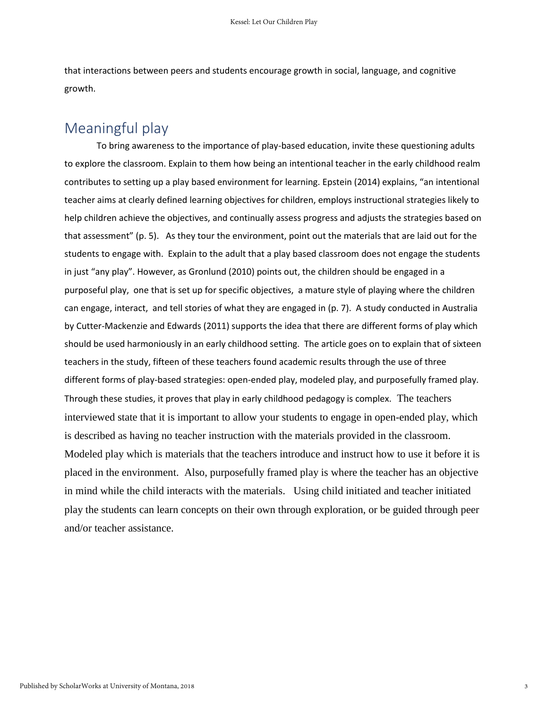that interactions between peers and students encourage growth in social, language, and cognitive growth.

#### Meaningful play

To bring awareness to the importance of play-based education, invite these questioning adults to explore the classroom. Explain to them how being an intentional teacher in the early childhood realm contributes to setting up a play based environment for learning. Epstein (2014) explains, "an intentional teacher aims at clearly defined learning objectives for children, employs instructional strategies likely to help children achieve the objectives, and continually assess progress and adjusts the strategies based on that assessment" (p. 5). As they tour the environment, point out the materials that are laid out for the students to engage with. Explain to the adult that a play based classroom does not engage the students in just "any play". However, as Gronlund (2010) points out, the children should be engaged in a purposeful play, one that is set up for specific objectives, a mature style of playing where the children can engage, interact, and tell stories of what they are engaged in (p. 7). A study conducted in Australia by Cutter-Mackenzie and Edwards (2011) supports the idea that there are different forms of play which should be used harmoniously in an early childhood setting. The article goes on to explain that of sixteen teachers in the study, fifteen of these teachers found academic results through the use of three different forms of play-based strategies: open-ended play, modeled play, and purposefully framed play. Through these studies, it proves that play in early childhood pedagogy is complex. The teachers interviewed state that it is important to allow your students to engage in open-ended play, which is described as having no teacher instruction with the materials provided in the classroom. Modeled play which is materials that the teachers introduce and instruct how to use it before it is placed in the environment. Also, purposefully framed play is where the teacher has an objective in mind while the child interacts with the materials. Using child initiated and teacher initiated play the students can learn concepts on their own through exploration, or be guided through peer and/or teacher assistance.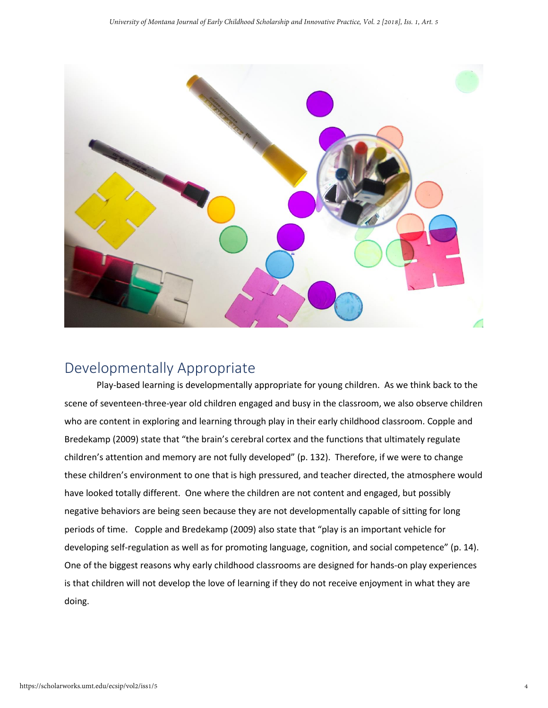

#### Developmentally Appropriate

Play-based learning is developmentally appropriate for young children. As we think back to the scene of seventeen-three-year old children engaged and busy in the classroom, we also observe children who are content in exploring and learning through play in their early childhood classroom. Copple and Bredekamp (2009) state that "the brain's cerebral cortex and the functions that ultimately regulate children's attention and memory are not fully developed" (p. 132). Therefore, if we were to change these children's environment to one that is high pressured, and teacher directed, the atmosphere would have looked totally different. One where the children are not content and engaged, but possibly negative behaviors are being seen because they are not developmentally capable of sitting for long periods of time. Copple and Bredekamp (2009) also state that "play is an important vehicle for developing self-regulation as well as for promoting language, cognition, and social competence" (p. 14). One of the biggest reasons why early childhood classrooms are designed for hands-on play experiences is that children will not develop the love of learning if they do not receive enjoyment in what they are doing.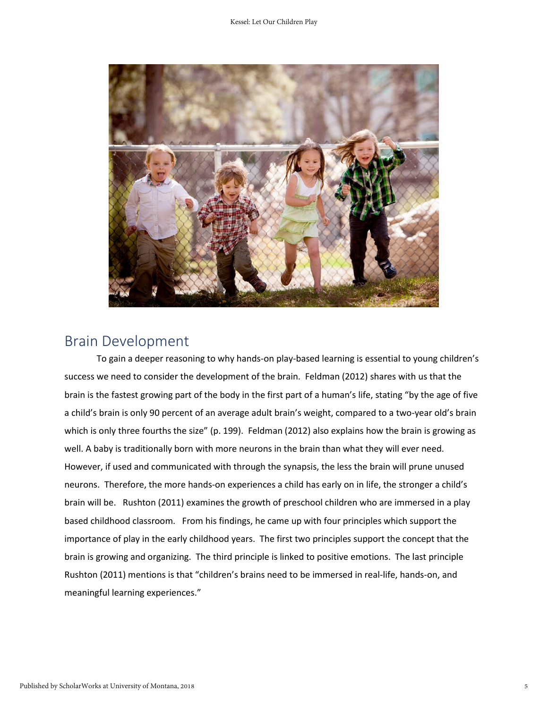

#### Brain Development

To gain a deeper reasoning to why hands-on play-based learning is essential to young children's success we need to consider the development of the brain. Feldman (2012) shares with us that the brain is the fastest growing part of the body in the first part of a human's life, stating "by the age of five a child's brain is only 90 percent of an average adult brain's weight, compared to a two-year old's brain which is only three fourths the size" (p. 199). Feldman (2012) also explains how the brain is growing as well. A baby is traditionally born with more neurons in the brain than what they will ever need. However, if used and communicated with through the synapsis, the less the brain will prune unused neurons. Therefore, the more hands-on experiences a child has early on in life, the stronger a child's brain will be. Rushton (2011) examines the growth of preschool children who are immersed in a play based childhood classroom. From his findings, he came up with four principles which support the importance of play in the early childhood years. The first two principles support the concept that the brain is growing and organizing. The third principle is linked to positive emotions. The last principle Rushton (2011) mentions is that "children's brains need to be immersed in real-life, hands-on, and meaningful learning experiences."